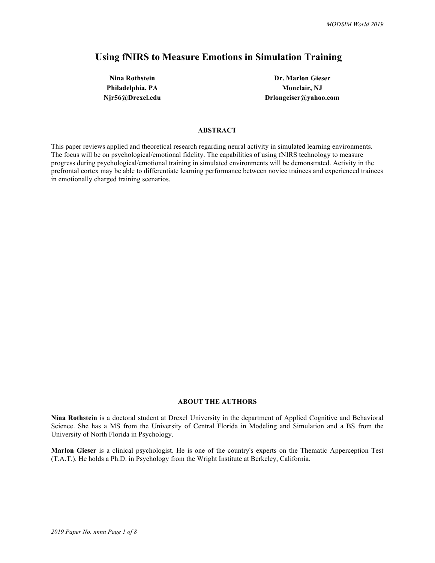# **Using fNIRS to Measure Emotions in Simulation Training**

**Nina Rothstein Dr. Marlon Gieser Philadelphia, PA Monclair, NJ Njr56@Drexel.edu Drlongeiser@yahoo.com**

## **ABSTRACT**

This paper reviews applied and theoretical research regarding neural activity in simulated learning environments. The focus will be on psychological/emotional fidelity. The capabilities of using fNIRS technology to measure progress during psychological/emotional training in simulated environments will be demonstrated. Activity in the prefrontal cortex may be able to differentiate learning performance between novice trainees and experienced trainees in emotionally charged training scenarios.

#### **ABOUT THE AUTHORS**

**Nina Rothstein** is a doctoral student at Drexel University in the department of Applied Cognitive and Behavioral Science. She has a MS from the University of Central Florida in Modeling and Simulation and a BS from the University of North Florida in Psychology.

**Marlon Gieser** is a clinical psychologist. He is one of the country's experts on the Thematic Apperception Test (T.A.T.). He holds a Ph.D. in Psychology from the Wright Institute at Berkeley, California.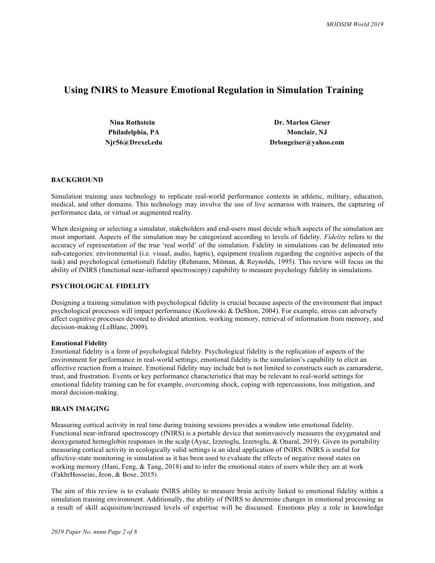## **Using fNIRS to Measure Emotional Regulation in Simulation Training**

| Nina Rothstein   | <b>Dr. Marlon Gieser</b> |  |
|------------------|--------------------------|--|
| Philadelphia, PA | <b>Monclair</b> , NJ     |  |
| Njr56@Drexel.edu | Drlongeiser@yahoo.com    |  |

## **BACKGROUND**

Simulation training uses technology to replicate real-world performance contexts in athletic, military, education, medical, and other domains. This technology may involve the use of live scenarios with trainers, the capturing of performance data, or virtual or augmented reality.

When designing or selecting a simulator, stakeholders and end-users must decide which aspects of the simulation are most important. Aspects of the simulation may be categorized according to levels of fidelity. *Fidelity* refers to the accuracy of representation of the true 'real world' of the simulation. Fidelity in simulations can be delineated into sub-categories: environmental (i.e. visual, audio, haptic), equipment (realism regarding the cognitive aspects of the task) and psychological (emotional) fidelity (Rehmann, Mitman, & Reynolds, 1995). This review will focus on the ability of fNIRS (functional near-infrared spectroscopy) capability to measure psychology fidelity in simulations.

## **PSYCHOLOGICAL FIDELITY**

Designing a training simulation with psychological fidelity is crucial because aspects of the environment that impact psychological processes will impact performance (Kozlowski & DeShon, 2004). For example, stress can adversely affect cognitive processes devoted to divided attention, working memory, retrieval of information from memory, and decision-making (LeBlanc, 2009).

#### **Emotional Fidelity**

Emotional fidelity is a form of psychological fidelity. Psychological fidelity is the replication of aspects of the environment for performance in real-world settings; emotional fidelity is the simulation's capability to elicit an affective reaction from a trainee. Emotional fidelity may include but is not limited to constructs such as camaraderie, trust, and frustration. Events or key performance characteristics that may be relevant to real-world settings for emotional fidelity training can be for example, overcoming shock, coping with repercussions, loss mitigation, and moral decision-making.

## **BRAIN IMAGING**

Measuring cortical activity in real time during training sessions provides a window into emotional fidelity. Functional near-infrared spectroscopy (fNIRS) is a portable device that noninvasively measures the oxygenated and deoxygenated hemoglobin responses in the scalp (Ayaz, Izzetoglu, Izzetoglu, & Onaral, 2019). Given its portability measuring cortical activity in ecologically valid settings is an ideal application of fNIRS. fNIRS is useful for affective-state monitoring in simulation as it has been used to evaluate the effects of negative mood states on working memory (Hani, Feng, & Tang, 2018) and to infer the emotional states of users while they are at work (FakhrHosseini, Jeon, & Bose, 2015).

The aim of this review is to evaluate fNIRS ability to measure brain activity linked to emotional fidelity within a simulation training environment. Additionally, the ability of fNIRS to determine changes in emotional processing as a result of skill acquisition/increased levels of expertise will be discussed. Emotions play a role in knowledge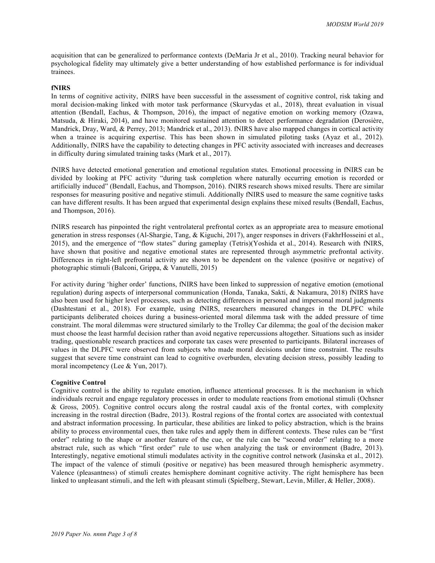acquisition that can be generalized to performance contexts (DeMaria Jr et al., 2010). Tracking neural behavior for psychological fidelity may ultimately give a better understanding of how established performance is for individual trainees.

## **fNIRS**

In terms of cognitive activity, fNIRS have been successful in the assessment of cognitive control, risk taking and moral decision-making linked with motor task performance (Skurvydas et al., 2018), threat evaluation in visual attention (Bendall, Eachus, & Thompson, 2016), the impact of negative emotion on working memory (Ozawa, Matsuda, & Hiraki, 2014), and have monitored sustained attention to detect performance degradation (Derosière, Mandrick, Dray, Ward, & Perrey, 2013; Mandrick et al., 2013). fNIRS have also mapped changes in cortical activity when a trainee is acquiring expertise. This has been shown in simulated piloting tasks (Ayaz et al., 2012). Additionally, fNIRS have the capability to detecting changes in PFC activity associated with increases and decreases in difficulty during simulated training tasks (Mark et al., 2017).

fNIRS have detected emotional generation and emotional regulation states. Emotional processing in fNIRS can be divided by looking at PFC activity "during task completion where naturally occurring emotion is recorded or artificially induced" (Bendall, Eachus, and Thompson, 2016). fNIRS research shows mixed results. There are similar responses for measuring positive and negative stimuli. Additionally fNIRS used to measure the same cognitive tasks can have different results. It has been argued that experimental design explains these mixed results (Bendall, Eachus, and Thompson, 2016).

fNIRS research has pinpointed the right ventrolateral prefrontal cortex as an appropriate area to measure emotional generation in stress responses (Al-Shargie, Tang, & Kiguchi, 2017), anger responses in drivers (FakhrHosseini et al., 2015), and the emergence of "flow states" during gameplay (Tetris)(Yoshida et al., 2014). Research with fNIRS, have shown that positive and negative emotional states are represented through asymmetric prefrontal activity. Differences in right-left prefrontal activity are shown to be dependent on the valence (positive or negative) of photographic stimuli (Balconi, Grippa, & Vanutelli, 2015)

For activity during 'higher order' functions, fNIRS have been linked to suppression of negative emotion (emotional regulation) during aspects of interpersonal communication (Honda, Tanaka, Sakti, & Nakamura, 2018) fNIRS have also been used for higher level processes, such as detecting differences in personal and impersonal moral judgments (Dashtestani et al., 2018). For example, using fNIRS, researchers measured changes in the DLPFC while participants deliberated choices during a business-oriented moral dilemma task with the added pressure of time constraint. The moral dilemmas were structured similarly to the Trolley Car dilemma; the goal of the decision maker must choose the least harmful decision rather than avoid negative repercussions altogether. Situations such as insider trading, questionable research practices and corporate tax cases were presented to participants. Bilateral increases of values in the DLPFC were observed from subjects who made moral decisions under time constraint. The results suggest that severe time constraint can lead to cognitive overburden, elevating decision stress, possibly leading to moral incompetency (Lee & Yun, 2017).

#### **Cognitive Control**

Cognitive control is the ability to regulate emotion, influence attentional processes. It is the mechanism in which individuals recruit and engage regulatory processes in order to modulate reactions from emotional stimuli (Ochsner & Gross, 2005). Cognitive control occurs along the rostral caudal axis of the frontal cortex, with complexity increasing in the rostral direction (Badre, 2013). Rostral regions of the frontal cortex are associated with contextual and abstract information processing. In particular, these abilities are linked to policy abstraction, which is the brains ability to process environmental cues, then take rules and apply them in different contexts. These rules can be "first order" relating to the shape or another feature of the cue, or the rule can be "second order" relating to a more abstract rule, such as which "first order" rule to use when analyzing the task or environment (Badre, 2013). Interestingly, negative emotional stimuli modulates activity in the cognitive control network (Jasinska et al., 2012). The impact of the valence of stimuli (positive or negative) has been measured through hemispheric asymmetry. Valence (pleasantness) of stimuli creates hemisphere dominant cognitive activity. The right hemisphere has been linked to unpleasant stimuli, and the left with pleasant stimuli (Spielberg, Stewart, Levin, Miller, & Heller, 2008).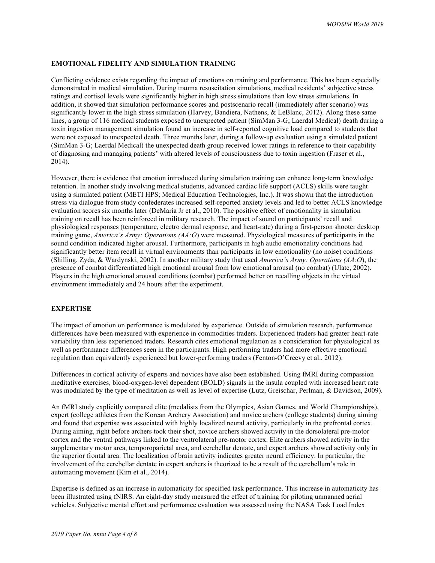#### **EMOTIONAL FIDELITY AND SIMULATION TRAINING**

Conflicting evidence exists regarding the impact of emotions on training and performance. This has been especially demonstrated in medical simulation. During trauma resuscitation simulations, medical residents' subjective stress ratings and cortisol levels were significantly higher in high stress simulations than low stress simulations. In addition, it showed that simulation performance scores and postscenario recall (immediately after scenario) was significantly lower in the high stress simulation (Harvey, Bandiera, Nathens, & LeBlanc, 2012). Along these same lines, a group of 116 medical students exposed to unexpected patient (SimMan 3-G; Laerdal Medical) death during a toxin ingestion management simulation found an increase in self-reported cognitive load compared to students that were not exposed to unexpected death. Three months later, during a follow-up evaluation using a simulated patient (SimMan 3-G; Laerdal Medical) the unexpected death group received lower ratings in reference to their capability of diagnosing and managing patients' with altered levels of consciousness due to toxin ingestion (Fraser et al., 2014).

However, there is evidence that emotion introduced during simulation training can enhance long-term knowledge retention. In another study involving medical students, advanced cardiac life support (ACLS) skills were taught using a simulated patient (METI HPS; Medical Education Technologies, Inc.). It was shown that the introduction stress via dialogue from study confederates increased self-reported anxiety levels and led to better ACLS knowledge evaluation scores six months later (DeMaria Jr et al., 2010). The positive effect of emotionality in simulation training on recall has been reinforced in military research. The impact of sound on participants' recall and physiological responses (temperature, electro dermal response, and heart-rate) during a first-person shooter desktop training game, *America's Army: Operations (AA:O*) were measured. Physiological measures of participants in the sound condition indicated higher arousal. Furthermore, participants in high audio emotionality conditions had significantly better item recall in virtual environments than participants in low emotionality (no noise) conditions (Shilling, Zyda, & Wardynski, 2002). In another military study that used *America's Army: Operations (AA:O*), the presence of combat differentiated high emotional arousal from low emotional arousal (no combat) (Ulate, 2002). Players in the high emotional arousal conditions (combat) performed better on recalling objects in the virtual environment immediately and 24 hours after the experiment.

## **EXPERTISE**

The impact of emotion on performance is modulated by experience. Outside of simulation research, performance differences have been measured with experience in commodities traders. Experienced traders had greater heart-rate variability than less experienced traders. Research cites emotional regulation as a consideration for physiological as well as performance differences seen in the participants. High performing traders had more effective emotional regulation than equivalently experienced but lower-performing traders (Fenton-O'Creevy et al., 2012).

Differences in cortical activity of experts and novices have also been established. Using fMRI during compassion meditative exercises, blood-oxygen-level dependent (BOLD) signals in the insula coupled with increased heart rate was modulated by the type of meditation as well as level of expertise (Lutz, Greischar, Perlman, & Davidson, 2009).

An fMRI study explicitly compared elite (medalists from the Olympics, Asian Games, and World Championships), expert (college athletes from the Korean Archery Association) and novice archers (college students) during aiming and found that expertise was associated with highly localized neural activity, particularly in the prefrontal cortex. During aiming, right before archers took their shot, novice archers showed activity in the dorsolateral pre-motor cortex and the ventral pathways linked to the ventrolateral pre-motor cortex. Elite archers showed activity in the supplementary motor area, temporoparietal area, and cerebellar dentate, and expert archers showed activity only in the superior frontal area. The localization of brain activity indicates greater neural efficiency. In particular, the involvement of the cerebellar dentate in expert archers is theorized to be a result of the cerebellum's role in automating movement (Kim et al., 2014).

Expertise is defined as an increase in automaticity for specified task performance. This increase in automaticity has been illustrated using fNIRS. An eight-day study measured the effect of training for piloting unmanned aerial vehicles. Subjective mental effort and performance evaluation was assessed using the NASA Task Load Index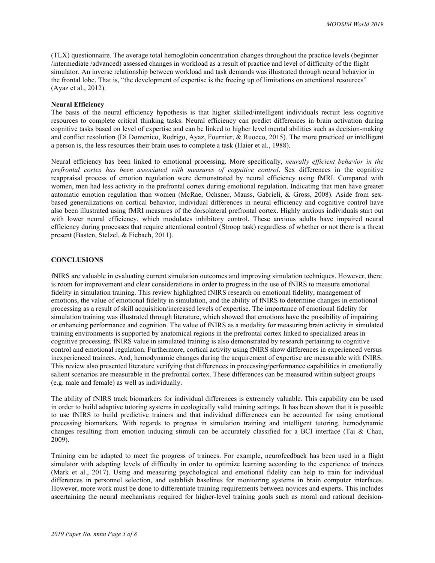(TLX) questionnaire. The average total hemoglobin concentration changes throughout the practice levels (beginner /intermediate /advanced) assessed changes in workload as a result of practice and level of difficulty of the flight simulator. An inverse relationship between workload and task demands was illustrated through neural behavior in the frontal lobe. That is, "the development of expertise is the freeing up of limitations on attentional resources" (Ayaz et al., 2012).

#### **Neural Efficiency**

The basis of the neural efficiency hypothesis is that higher skilled/intelligent individuals recruit less cognitive resources to complete critical thinking tasks. Neural efficiency can predict differences in brain activation during cognitive tasks based on level of expertise and can be linked to higher level mental abilities such as decision-making and conflict resolution (Di Domenico, Rodrigo, Ayaz, Fournier, & Ruocco, 2015). The more practiced or intelligent a person is, the less resources their brain uses to complete a task (Haier et al., 1988).

Neural efficiency has been linked to emotional processing. More specifically, *neurally efficient behavior in the prefrontal cortex has been associated with measures of cognitive control*. Sex differences in the cognitive reappraisal process of emotion regulation were demonstrated by neural efficiency using fMRI. Compared with women, men had less activity in the prefrontal cortex during emotional regulation. Indicating that men have greater automatic emotion regulation than women (McRae, Ochsner, Mauss, Gabrieli, & Gross, 2008). Aside from sexbased generalizations on cortical behavior, individual differences in neural efficiency and cognitive control have also been illustrated using fMRI measures of the dorsolateral prefrontal cortex. Highly anxious individuals start out with lower neural efficiency, which modulates inhibitory control. These anxious adults have impaired neural efficiency during processes that require attentional control (Stroop task) regardless of whether or not there is a threat present (Basten, Stelzel, & Fiebach, 2011).

#### **CONCLUSIONS**

fNIRS are valuable in evaluating current simulation outcomes and improving simulation techniques. However, there is room for improvement and clear considerations in order to progress in the use of fNIRS to measure emotional fidelity in simulation training. This review highlighted fNIRS research on emotional fidelity, management of emotions, the value of emotional fidelity in simulation, and the ability of fNIRS to determine changes in emotional processing as a result of skill acquisition/increased levels of expertise. The importance of emotional fidelity for simulation training was illustrated through literature, which showed that emotions have the possibility of impairing or enhancing performance and cognition. The value of fNIRS as a modality for measuring brain activity in simulated training environments is supported by anatomical regions in the prefrontal cortex linked to specialized areas in cognitive processing. fNIRS value in simulated training is also demonstrated by research pertaining to cognitive control and emotional regulation. Furthermore, cortical activity using fNIRS show differences in experienced versus inexperienced trainees. And, hemodynamic changes during the acquirement of expertise are measurable with fNIRS. This review also presented literature verifying that differences in processing/performance capabilities in emotionally salient scenarios are measurable in the prefrontal cortex. These differences can be measured within subject groups (e.g. male and female) as well as individually.

The ability of fNIRS track biomarkers for individual differences is extremely valuable. This capability can be used in order to build adaptive tutoring systems in ecologically valid training settings. It has been shown that it is possible to use fNIRS to build predictive trainers and that individual differences can be accounted for using emotional processing biomarkers. With regards to progress in simulation training and intelligent tutoring, hemodynamic changes resulting from emotion inducing stimuli can be accurately classified for a BCI interface (Tai  $\&$  Chau, 2009).

Training can be adapted to meet the progress of trainees. For example, neurofeedback has been used in a flight simulator with adapting levels of difficulty in order to optimize learning according to the experience of trainees (Mark et al., 2017). Using and measuring psychological and emotional fidelity can help to train for individual differences in personnel selection, and establish baselines for monitoring systems in brain computer interfaces. However, more work must be done to differentiate training requirements between novices and experts. This includes ascertaining the neural mechanisms required for higher-level training goals such as moral and rational decision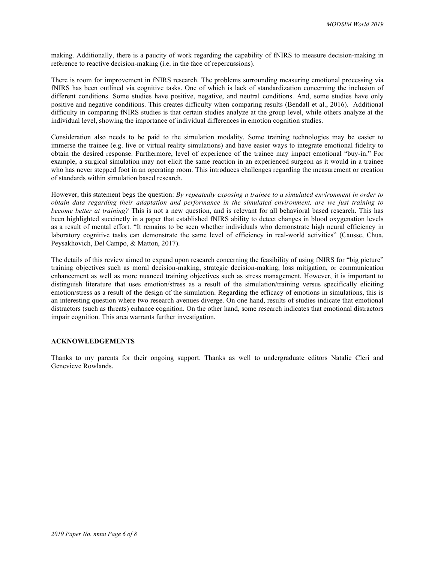making. Additionally, there is a paucity of work regarding the capability of fNIRS to measure decision-making in reference to reactive decision-making (i.e. in the face of repercussions).

There is room for improvement in fNIRS research. The problems surrounding measuring emotional processing via fNIRS has been outlined via cognitive tasks. One of which is lack of standardization concerning the inclusion of different conditions. Some studies have positive, negative, and neutral conditions. And, some studies have only positive and negative conditions. This creates difficulty when comparing results (Bendall et al., 2016). Additional difficulty in comparing fNIRS studies is that certain studies analyze at the group level, while others analyze at the individual level, showing the importance of individual differences in emotion cognition studies.

Consideration also needs to be paid to the simulation modality. Some training technologies may be easier to immerse the trainee (e.g. live or virtual reality simulations) and have easier ways to integrate emotional fidelity to obtain the desired response. Furthermore, level of experience of the trainee may impact emotional "buy-in." For example, a surgical simulation may not elicit the same reaction in an experienced surgeon as it would in a trainee who has never stepped foot in an operating room. This introduces challenges regarding the measurement or creation of standards within simulation based research.

However, this statement begs the question: *By repeatedly exposing a trainee to a simulated environment in order to obtain data regarding their adaptation and performance in the simulated environment, are we just training to become better at training?* This is not a new question, and is relevant for all behavioral based research. This has been highlighted succinctly in a paper that established fNIRS ability to detect changes in blood oxygenation levels as a result of mental effort. "It remains to be seen whether individuals who demonstrate high neural efficiency in laboratory cognitive tasks can demonstrate the same level of efficiency in real-world activities" (Causse, Chua, Peysakhovich, Del Campo, & Matton, 2017).

The details of this review aimed to expand upon research concerning the feasibility of using fNIRS for "big picture" training objectives such as moral decision-making, strategic decision-making, loss mitigation, or communication enhancement as well as more nuanced training objectives such as stress management. However, it is important to distinguish literature that uses emotion/stress as a result of the simulation/training versus specifically eliciting emotion/stress as a result of the design of the simulation. Regarding the efficacy of emotions in simulations, this is an interesting question where two research avenues diverge. On one hand, results of studies indicate that emotional distractors (such as threats) enhance cognition. On the other hand, some research indicates that emotional distractors impair cognition. This area warrants further investigation.

## **ACKNOWLEDGEMENTS**

Thanks to my parents for their ongoing support. Thanks as well to undergraduate editors Natalie Cleri and Genevieve Rowlands.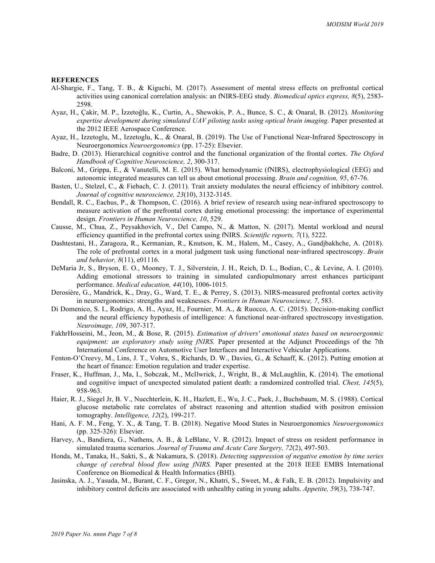#### **REFERENCES**

- Al-Shargie, F., Tang, T. B., & Kiguchi, M. (2017). Assessment of mental stress effects on prefrontal cortical activities using canonical correlation analysis: an fNIRS-EEG study. *Biomedical optics express, 8*(5), 2583- 2598.
- Ayaz, H., Çakir, M. P., İzzetoğlu, K., Curtin, A., Shewokis, P. A., Bunce, S. C., & Onaral, B. (2012). *Monitoring expertise development during simulated UAV piloting tasks using optical brain imaging.* Paper presented at the 2012 IEEE Aerospace Conference.
- Ayaz, H., Izzetoglu, M., Izzetoglu, K., & Onaral, B. (2019). The Use of Functional Near-Infrared Spectroscopy in Neuroergonomics *Neuroergonomics* (pp. 17-25): Elsevier.
- Badre, D. (2013). Hierarchical cognitive control and the functional organization of the frontal cortex. *The Oxford Handbook of Cognitive Neuroscience, 2*, 300-317.
- Balconi, M., Grippa, E., & Vanutelli, M. E. (2015). What hemodynamic (fNIRS), electrophysiological (EEG) and autonomic integrated measures can tell us about emotional processing. *Brain and cognition, 95*, 67-76.
- Basten, U., Stelzel, C., & Fiebach, C. J. (2011). Trait anxiety modulates the neural efficiency of inhibitory control. *Journal of cognitive neuroscience, 23*(10), 3132-3145.
- Bendall, R. C., Eachus, P., & Thompson, C. (2016). A brief review of research using near-infrared spectroscopy to measure activation of the prefrontal cortex during emotional processing: the importance of experimental design. *Frontiers in Human Neuroscience, 10*, 529.
- Causse, M., Chua, Z., Peysakhovich, V., Del Campo, N., & Matton, N. (2017). Mental workload and neural efficiency quantified in the prefrontal cortex using fNIRS. *Scientific reports, 7*(1), 5222.
- Dashtestani, H., Zaragoza, R., Kermanian, R., Knutson, K. M., Halem, M., Casey, A., Gandjbakhche, A. (2018). The role of prefrontal cortex in a moral judgment task using functional near‐infrared spectroscopy. *Brain and behavior, 8*(11), e01116.
- DeMaria Jr, S., Bryson, E. O., Mooney, T. J., Silverstein, J. H., Reich, D. L., Bodian, C., & Levine, A. I. (2010). Adding emotional stressors to training in simulated cardiopulmonary arrest enhances participant performance. *Medical education, 44*(10), 1006-1015.
- Derosière, G., Mandrick, K., Dray, G., Ward, T. E., & Perrey, S. (2013). NIRS-measured prefrontal cortex activity in neuroergonomics: strengths and weaknesses. *Frontiers in Human Neuroscience, 7*, 583.
- Di Domenico, S. I., Rodrigo, A. H., Ayaz, H., Fournier, M. A., & Ruocco, A. C. (2015). Decision-making conflict and the neural efficiency hypothesis of intelligence: A functional near-infrared spectroscopy investigation. *Neuroimage, 109*, 307-317.
- FakhrHosseini, M., Jeon, M., & Bose, R. (2015). *Estimation of drivers' emotional states based on neuroergonmic equipment: an exploratory study using fNIRS.* Paper presented at the Adjunct Proceedings of the 7th International Conference on Automotive User Interfaces and Interactive Vehicular Applications.
- Fenton-O'Creevy, M., Lins, J. T., Vohra, S., Richards, D. W., Davies, G., & Schaaff, K. (2012). Putting emotion at the heart of finance: Emotion regulation and trader expertise.
- Fraser, K., Huffman, J., Ma, I., Sobczak, M., McIlwrick, J., Wright, B., & McLaughlin, K. (2014). The emotional and cognitive impact of unexpected simulated patient death: a randomized controlled trial. *Chest, 145*(5), 958-963.
- Haier, R. J., Siegel Jr, B. V., Nuechterlein, K. H., Hazlett, E., Wu, J. C., Paek, J., Buchsbaum, M. S. (1988). Cortical glucose metabolic rate correlates of abstract reasoning and attention studied with positron emission tomography. *Intelligence, 12*(2), 199-217.
- Hani, A. F. M., Feng, Y. X., & Tang, T. B. (2018). Negative Mood States in Neuroergonomics *Neuroergonomics* (pp. 325-326): Elsevier.
- Harvey, A., Bandiera, G., Nathens, A. B., & LeBlanc, V. R. (2012). Impact of stress on resident performance in simulated trauma scenarios. *Journal of Trauma and Acute Care Surgery, 72*(2), 497-503.
- Honda, M., Tanaka, H., Sakti, S., & Nakamura, S. (2018). *Detecting suppression of negative emotion by time series change of cerebral blood flow using fNIRS.* Paper presented at the 2018 IEEE EMBS International Conference on Biomedical & Health Informatics (BHI).
- Jasinska, A. J., Yasuda, M., Burant, C. F., Gregor, N., Khatri, S., Sweet, M., & Falk, E. B. (2012). Impulsivity and inhibitory control deficits are associated with unhealthy eating in young adults. *Appetite, 59*(3), 738-747.